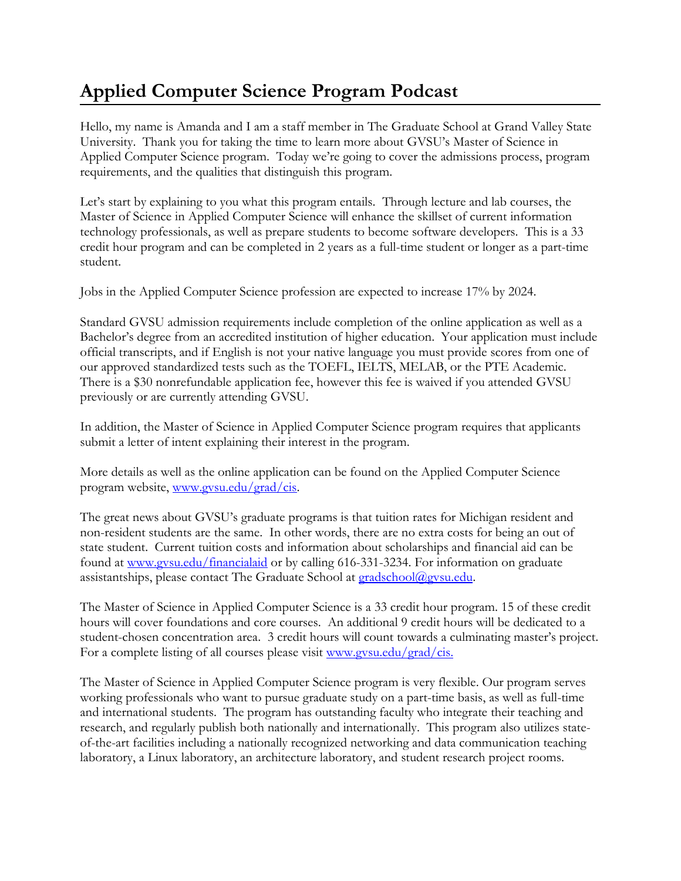## **Applied Computer Science Program Podcast**

Hello, my name is Amanda and I am a staff member in The Graduate School at Grand Valley State University. Thank you for taking the time to learn more about GVSU's Master of Science in Applied Computer Science program. Today we're going to cover the admissions process, program requirements, and the qualities that distinguish this program.

Let's start by explaining to you what this program entails. Through lecture and lab courses, the Master of Science in Applied Computer Science will enhance the skillset of current information technology professionals, as well as prepare students to become software developers. This is a 33 credit hour program and can be completed in 2 years as a full-time student or longer as a part-time student.

Jobs in the Applied Computer Science profession are expected to increase 17% by 2024.

Standard GVSU admission requirements include completion of the online application as well as a Bachelor's degree from an accredited institution of higher education. Your application must include official transcripts, and if English is not your native language you must provide scores from one of our approved standardized tests such as the TOEFL, IELTS, MELAB, or the PTE Academic. There is a \$30 nonrefundable application fee, however this fee is waived if you attended GVSU previously or are currently attending GVSU.

In addition, the Master of Science in Applied Computer Science program requires that applicants submit a letter of intent explaining their interest in the program.

More details as well as the online application can be found on the Applied Computer Science program website, [www.gvsu.edu/grad/cis.](http://www.gvsu.edu/grad/cis)

The great news about GVSU's graduate programs is that tuition rates for Michigan resident and non-resident students are the same. In other words, there are no extra costs for being an out of state student. Current tuition costs and information about scholarships and financial aid can be found at [www.gvsu.edu/financialaid](http://www.gvsu.edu/financialaid) or by calling 616-331-3234. For information on graduate assistantships, please contact The Graduate School at [gradschool@gvsu.edu.](mailto:gradschool@gvsu.edu)

The Master of Science in Applied Computer Science is a 33 credit hour program. 15 of these credit hours will cover foundations and core courses. An additional 9 credit hours will be dedicated to a student-chosen concentration area. 3 credit hours will count towards a culminating master's project. For a complete listing of all courses please visit [www.gvsu.edu/grad/cis.](http://www.gvsu.edu/grad/cis.)

The Master of Science in Applied Computer Science program is very flexible. Our program serves working professionals who want to pursue graduate study on a part-time basis, as well as full-time and international students. The program has outstanding faculty who integrate their teaching and research, and regularly publish both nationally and internationally. This program also utilizes stateof-the-art facilities including a nationally recognized networking and data communication teaching laboratory, a Linux laboratory, an architecture laboratory, and student research project rooms.